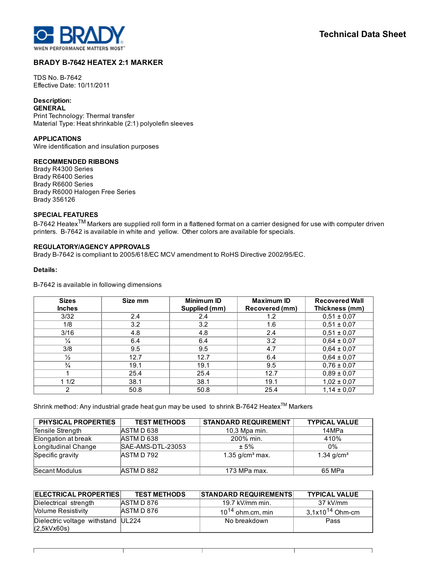

٦

J.

# BRADY B-7642 HEATEX 2:1 MARKER

TDS No. B-7642 Effective Date: 10/11/2011

# Description:

**GENERAL** Print Technology: Thermal transfer Material Type: Heat shrinkable (2:1) polyolefin sleeves

## APPLICATIONS

Wire identification and insulation purposes

# RECOMMENDED RIBBONS

Brady R4300 Series Brady R6400 Series Brady R6600 Series Brady R6000 Halogen Free Series Brady 356126

# SPECIAL FEATURES

B-7642 Heatex<sup>TM</sup> Markers are supplied roll form in a flattened format on a carrier designed for use with computer driven printers. B-7642 is available in white and yellow. Other colors are available for specials.

# REGULATORY/AGENCY APPROVALS

Brady B7642 is compliant to 2005/618/EC MCV amendment to RoHS Directive 2002/95/EC.

#### Details:

B-7642 is available in following dimensions

J.

| <b>Sizes</b>   | Size mm | <b>Minimum ID</b> | Maximum ID     | <b>Recovered Wall</b> |
|----------------|---------|-------------------|----------------|-----------------------|
| <b>Inches</b>  |         | Supplied (mm)     | Recovered (mm) | Thickness (mm)        |
| 3/32           | 2.4     | 2.4               | 1.2            | $0,51 \pm 0,07$       |
| 1/8            | 3.2     | 3.2               | 1.6            | $0,51 \pm 0,07$       |
| 3/16           | 4.8     | 4.8               | 2.4            | $0,51 \pm 0,07$       |
| $\frac{1}{4}$  | 6.4     | 6.4               | 3.2            | $0,64 \pm 0,07$       |
| 3/8            | 9.5     | 9.5               | 4.7            | $0,64 \pm 0,07$       |
| $\frac{1}{2}$  | 12.7    | 12.7              | 6.4            | $0,64 \pm 0,07$       |
| $\frac{3}{4}$  | 19.1    | 19.1              | 9.5            | $0,76 \pm 0,07$       |
|                | 25.4    | 25.4              | 12.7           | $0.89 \pm 0.07$       |
| 11/2           | 38.1    | 38.1              | 19.1           | $1,02 \pm 0,07$       |
| $\overline{2}$ | 50.8    | 50.8              | 25.4           | $1,14 \pm 0,07$       |

Shrink method: Any industrial grade heat gun may be used to shrink B-7642 Heatex™ Markers

| <b>PHYSICAL PROPERTIES</b> | <b>TEST METHODS</b> | <b>STANDARD REQUIREMENT</b> | <b>TYPICAL VALUE</b> |
|----------------------------|---------------------|-----------------------------|----------------------|
| Tensile Strength           | <b>JASTMD638</b>    | 10,3 Mpa min.               | 14MPa                |
| Elongation at break        | ASTM D 638          | 200% min.                   | 410%                 |
| Longitudinal Change        | SAE-AMS-DTL-23053   | $± 5\%$                     | $0\%$                |
| Specific gravity           | ASTM D 792          | 1.35 $g/cm3$ max.           | 1.34 $g/cm3$         |
| Secant Modulus             | <b>JASTMD 882</b>   | 173 MPa max.                | 65 MPa               |

| ELECTRICAL PROPERTIES                             | <b>TEST METHODS</b> | <b>STANDARD REQUIREMENTS</b> | <b>TYPICAL VALUE</b> |
|---------------------------------------------------|---------------------|------------------------------|----------------------|
| Dielectrical strength                             | ASTM D 876          | 19.7 kV/mm min.              | 37 kV/mm             |
| <b>Nolume Resistivity</b>                         | ASTM D 876          | $10^{14}$ ohm.cm, min        | $3,1x10^{14}$ Ohm-cm |
| Dielectric voltage withstand UL224<br>(2,5kVx60s) |                     | No breakdown                 | Pass                 |

H.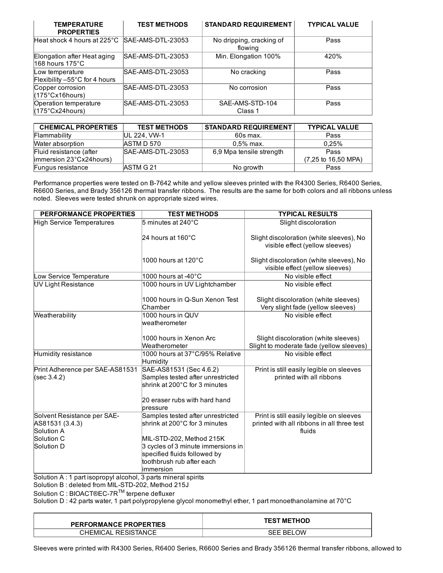| <b>TEMPERATURE</b><br><b>PROPERTIES</b>                     | <b>TEST METHODS</b> | <b>STANDARD REQUIREMENT</b>         | <b>TYPICAL VALUE</b> |
|-------------------------------------------------------------|---------------------|-------------------------------------|----------------------|
| Heat shock 4 hours at 225°C                                 | SAE-AMS-DTL-23053   | No dripping, cracking of<br>flowing | Pass                 |
| Elongation after Heat aging<br>$168$ hours 175 $^{\circ}$ C | SAE-AMS-DTL-23053   | Min. Elongation 100%                | 420%                 |
| Low temperature<br>Flexibility -55°C for 4 hours            | SAE-AMS-DTL-23053   | No cracking                         | Pass                 |
| Copper corrosion<br>$(175^{\circ}$ Cx16hours)               | SAE-AMS-DTL-23053   | No corrosion                        | Pass                 |
| Operation temperature<br>(175°Cx24hours)                    | SAE-AMS-DTL-23053   | SAE-AMS-STD-104<br>Class 1          | Pass                 |

| <b>CHEMICAL PROPERTIES</b>     | <b>TEST METHODS</b>  | STANDARD REQUIREMENT     | <b>TYPICAL VALUE</b>                   |
|--------------------------------|----------------------|--------------------------|----------------------------------------|
| Flammability                   | <b>IUL 224, VW-1</b> | 60s max.                 | Pass                                   |
| Water absorption               | ASTM D 570           | $0.5%$ max.              | 0.25%                                  |
| Fluid resistance (after        | SAE-AMS-DTL-23053    | 6.9 Mpa tensile strength | Pass                                   |
| <b>immersion 23°Cx24hours)</b> |                      |                          | $(7,25 \text{ to } 16,50 \text{ MPA})$ |
| Fungus resistance              | <b>JASTM G 21</b>    | No growth                | Pass                                   |

Performance properties were tested on B-7642 white and yellow sleeves printed with the R4300 Series, R6400 Series, R6600 Series, and Brady 356126 thermal transfer ribbons. The results are the same for both colors and all ribbons unless noted. Sleeves were tested shrunk on appropriate sized wires.

| PERFORMANCE PROPERTIES                                       | <b>TEST METHODS</b>                                                                                                            | <b>TYPICAL RESULTS</b>                                                                           |
|--------------------------------------------------------------|--------------------------------------------------------------------------------------------------------------------------------|--------------------------------------------------------------------------------------------------|
| <b>High Service Temperatures</b>                             | 5 minutes at 240°C                                                                                                             | Slight discoloration                                                                             |
|                                                              | 24 hours at 160°C                                                                                                              | Slight discoloration (white sleeves), No<br>visible effect (yellow sleeves)                      |
|                                                              | $1000$ hours at 120°C                                                                                                          | Slight discoloration (white sleeves), No<br>visible effect (yellow sleeves)                      |
| Low Service Temperature                                      | $1000$ hours at -40 $^{\circ}$ C                                                                                               | No visible effect                                                                                |
| UV Light Resistance                                          | 1000 hours in UV Lightchamber                                                                                                  | No visible effect                                                                                |
|                                                              | 1000 hours in Q-Sun Xenon Test<br>Chamber                                                                                      | Slight discoloration (white sleeves)<br>Very slight fade (yellow sleeves)                        |
| Weatherability                                               | 1000 hours in QUV<br>weatherometer                                                                                             | No visible effect                                                                                |
|                                                              | 1000 hours in Xenon Arc<br>Weatherometer                                                                                       | Slight discoloration (white sleeves)<br>Slight to moderate fade (yellow sleeves)                 |
| Humidity resistance                                          | 1000 hours at 37°C/95% Relative<br>Humidity                                                                                    | No visible effect                                                                                |
| Print Adherence per SAE-AS81531<br>(sec 3.4.2)               | SAE-AS81531 (Sec 4.6.2)<br>Samples tested after unrestricted<br>shrink at 200°C for 3 minutes<br>20 eraser rubs with hard hand | Print is still easily legible on sleeves<br>printed with all ribbons                             |
|                                                              | pressure                                                                                                                       |                                                                                                  |
| Solvent Resistance per SAE-<br>AS81531 (3.4.3)<br>Solution A | Samples tested after unrestricted<br>shrink at 200°C for 3 minutes                                                             | Print is still easily legible on sleeves<br>printed with all ribbons in all three test<br>fluids |
| <b>Solution C</b>                                            | MIL-STD-202, Method 215K                                                                                                       |                                                                                                  |
| Solution D                                                   | 3 cycles of 3 minute immersions in                                                                                             |                                                                                                  |
|                                                              | specified fluids followed by                                                                                                   |                                                                                                  |
|                                                              | toothbrush rub after each                                                                                                      |                                                                                                  |
|                                                              | limmersion                                                                                                                     |                                                                                                  |

Solution A : 1 part isopropyl alcohol, 3 parts mineral spirits

Solution B : deleted from MIL-STD-202, Method 215J

Solution C : BIOACT®EC-7R™ terpene defluxer

Solution D : 42 parts water, 1 part polypropylene glycol monomethyl ether, 1 part monoethanolamine at 70°C

| <b>PERFORMANCE PROPERTIES</b> | <b>TEST METHOD</b> |  |
|-------------------------------|--------------------|--|
| CHEMICAL RESISTANCE           | <b>SEE BELOW</b>   |  |

Sleeves were printed with R4300 Series, R6400 Series, R6600 Series and Brady 356126 thermal transfer ribbons, allowed to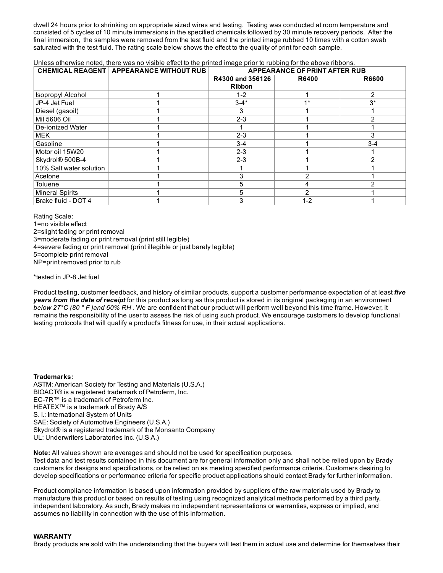dwell 24 hours prior to shrinking on appropriate sized wires and testing. Testing was conducted at room temperature and consisted of 5 cycles of 10 minute immersions in the specified chemicals followed by 30 minute recovery periods. After the final immersion, the samples were removed from the test fluid and the printed image rubbed 10 times with a cotton swab saturated with the test fluid. The rating scale below shows the effect to the quality of print for each sample.

#### Unless otherwise noted, there was no visible effect to the printed image prior to rubbing for the above ribbons.

|                          | <b>CHEMICAL REAGENT APPEARANCE WITHOUT RUB</b> | <b>APPEARANCE OF PRINT AFTER RUB</b> |              |                |
|--------------------------|------------------------------------------------|--------------------------------------|--------------|----------------|
|                          |                                                | R4300 and 356126                     | <b>R6400</b> | <b>R6600</b>   |
|                          |                                                | <b>Ribbon</b>                        |              |                |
| <b>Isopropyl Alcohol</b> |                                                | $1 - 2$                              |              | 2              |
| JP-4 Jet Fuel            |                                                | $3 - 4*$                             | $4*$         | $3^*$          |
| Diesel (gasoil)          |                                                | 3                                    |              |                |
| Mil 5606 Oil             |                                                | $2 - 3$                              |              | 2              |
| De-ionized Water         |                                                |                                      |              |                |
| <b>MEK</b>               |                                                | $2 - 3$                              |              | 3              |
| Gasoline                 |                                                | $3 - 4$                              |              | $3 - 4$        |
| Motor oil 15W20          |                                                | $2 - 3$                              |              |                |
| Skydrol® 500B-4          |                                                | $2 - 3$                              |              | $\overline{2}$ |
| 10% Salt water solution  |                                                |                                      |              |                |
| Acetone                  |                                                | 3                                    | っ            |                |
| Toluene                  |                                                | 5                                    |              |                |
| Mineral Spirits          |                                                | 5                                    |              |                |
| Brake fluid - DOT 4      |                                                | 3                                    | $1 - 2$      |                |

Rating Scale: 1=no visible effect 2=slight fading or print removal 3=moderate fading or print removal (print still legible) 4=severe fading or print removal (print illegible or just barely legible) 5=complete print removal NP=print removed prior to rub

\*tested in JP-8 Jet fuel

Product testing, customer feedback, and history of similar products, support a customer performance expectation of at least *five years from the date of receipt* for this product as long as this product is stored in its original packaging in an environment *below 27°C (80 ° F )and 60% RH* . We are confident that our product will perform well beyond this time frame. However, it remains the responsibility of the user to assess the risk of using such product. We encourage customers to develop functional testing protocols that will qualify a product's fitness for use, in their actual applications.

#### Trademarks:

ASTM: American Society for Testing and Materials (U.S.A.) BIOACT® is a registered trademark of Petroferm, Inc. EC-7R™ is a trademark of Petroferm Inc. HEATEX<sup>™</sup> is a trademark of Brady A/S S. I.: International System of Units SAE: Society of Automotive Engineers (U.S.A.) Skydrol® is a registered trademark of the Monsanto Company UL: Underwriters Laboratories Inc. (U.S.A.)

Note: All values shown are averages and should not be used for specification purposes.

Test data and test results contained in this document are for general information only and shall not be relied upon by Brady customers for designs and specifications, or be relied on as meeting specified performance criteria. Customers desiring to develop specifications or performance criteria for specific product applications should contact Brady for further information.

Product compliance information is based upon information provided by suppliers of the raw materials used by Brady to manufacture this product or based on results of testing using recognized analytical methods performed by a third party, independent laboratory. As such, Brady makes no independent representations or warranties, express or implied, and assumes no liability in connection with the use of this information.

#### WARRANTY

Brady products are sold with the understanding that the buyers will test them in actual use and determine for themselves their